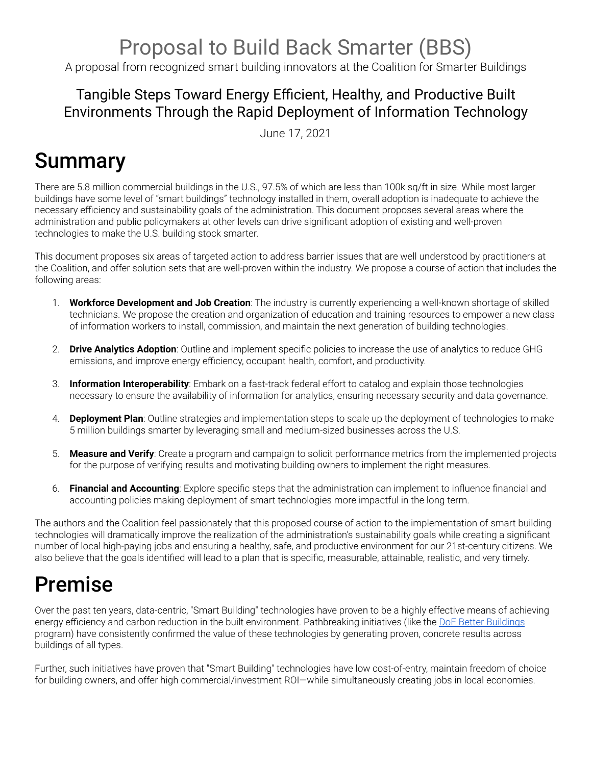## Proposal to Build Back Smarter (BBS)

A proposal from recognized smart building innovators at the Coalition for Smarter Buildings

## Tangible Steps Toward Energy Efficient, Healthy, and Productive Built Environments Through the Rapid Deployment of Information Technology

June 17, 2021

# Summary

There are 5.8 million commercial buildings in the U.S., 97.5% of which are less than 100k sq/ft in size. While most larger buildings have some level of "smart buildings" technology installed in them, overall adoption is inadequate to achieve the necessary efficiency and sustainability goals of the administration. This document proposes several areas where the administration and public policymakers at other levels can drive significant adoption of existing and well-proven technologies to make the U.S. building stock smarter.

This document proposes six areas of targeted action to address barrier issues that are well understood by practitioners at the Coalition, and offer solution sets that are well-proven within the industry. We propose a course of action that includes the following areas:

- 1. **Workforce Development and Job Creation**: The industry is currently experiencing a well-known shortage of skilled technicians. We propose the creation and organization of education and training resources to empower a new class of information workers to install, commission, and maintain the next generation of building technologies.
- 2. **Drive Analytics Adoption**: Outline and implement specific policies to increase the use of analytics to reduce GHG emissions, and improve energy efficiency, occupant health, comfort, and productivity.
- 3. **Information Interoperability**: Embark on a fast-track federal effort to catalog and explain those technologies necessary to ensure the availability of information for analytics, ensuring necessary security and data governance.
- 4. **Deployment Plan**: Outline strategies and implementation steps to scale up the deployment of technologies to make 5 million buildings smarter by leveraging small and medium-sized businesses across the U.S.
- 5. **Measure and Verify**: Create a program and campaign to solicit performance metrics from the implemented projects for the purpose of verifying results and motivating building owners to implement the right measures.
- 6. **Financial and Accounting**: Explore specific steps that the administration can implement to influence financial and accounting policies making deployment of smart technologies more impactful in the long term.

The authors and the Coalition feel passionately that this proposed course of action to the implementation of smart building technologies will dramatically improve the realization of the administration's sustainability goals while creating a significant number of local high-paying jobs and ensuring a healthy, safe, and productive environment for our 21st-century citizens. We also believe that the goals identified will lead to a plan that is specific, measurable, attainable, realistic, and very timely.

# Premise

Over the past ten years, data-centric, "Smart Building" technologies have proven to be a highly effective means of achieving energy efficiency and carbon reduction in the built environment. Pathbreaking initiatives (like the DoE Better [Buildings](https://betterbuildingssolutioncenter.energy.gov) program) have consistently confirmed the value of these technologies by generating proven, concrete results across buildings of all types.

Further, such initiatives have proven that "Smart Building" technologies have low cost-of-entry, maintain freedom of choice for building owners, and offer high commercial/investment ROI-while simultaneously creating jobs in local economies.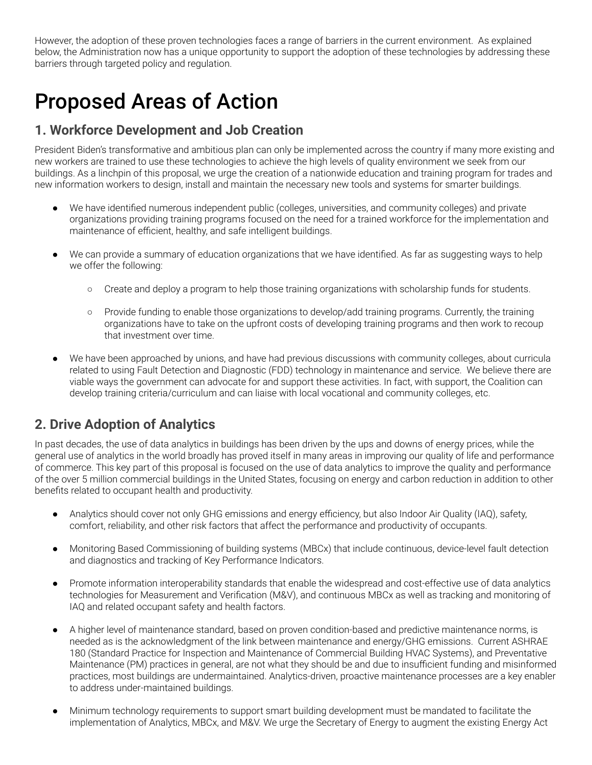However, the adoption of these proven technologies faces a range of barriers in the current environment. As explained below, the Administration now has a unique opportunity to support the adoption of these technologies by addressing these barriers through targeted policy and regulation.

## Proposed Areas of Action

### **1. Workforce Development and Job Creation**

President Biden's transformative and ambitious plan can only be implemented across the country if many more existing and new workers are trained to use these technologies to achieve the high levels of quality environment we seek from our buildings. As a linchpin of this proposal, we urge the creation of a nationwide education and training program for trades and new information workers to design, install and maintain the necessary new tools and systems for smarter buildings.

- We have identified numerous independent public (colleges, universities, and community colleges) and private organizations providing training programs focused on the need for a trained workforce for the implementation and maintenance of efficient, healthy, and safe intelligent buildings.
- We can provide a summary of education organizations that we have identified. As far as suggesting ways to help we offer the following:
	- Create and deploy a program to help those training organizations with scholarship funds for students.
	- Provide funding to enable those organizations to develop/add training programs. Currently, the training organizations have to take on the upfront costs of developing training programs and then work to recoup that investment over time.
- We have been approached by unions, and have had previous discussions with community colleges, about curricula related to using Fault Detection and Diagnostic (FDD) technology in maintenance and service. We believe there are viable ways the government can advocate for and support these activities. In fact, with support, the Coalition can develop training criteria/curriculum and can liaise with local vocational and community colleges, etc.

### **2. Drive Adoption of Analytics**

In past decades, the use of data analytics in buildings has been driven by the ups and downs of energy prices, while the general use of analytics in the world broadly has proved itself in many areas in improving our quality of life and performance of commerce. This key part of this proposal is focused on the use of data analytics to improve the quality and performance of the over 5 million commercial buildings in the United States, focusing on energy and carbon reduction in addition to other benefits related to occupant health and productivity.

- Analytics should cover not only GHG emissions and energy efficiency, but also Indoor Air Quality (IAQ), safety, comfort, reliability, and other risk factors that affect the performance and productivity of occupants.
- Monitoring Based Commissioning of building systems (MBCx) that include continuous, device-level fault detection and diagnostics and tracking of Key Performance Indicators.
- Promote information interoperability standards that enable the widespread and cost-effective use of data analytics technologies for Measurement and Verification (M&V), and continuous MBCx as well as tracking and monitoring of IAQ and related occupant safety and health factors.
- A higher level of maintenance standard, based on proven condition-based and predictive maintenance norms, is needed as is the acknowledgment of the link between maintenance and energy/GHG emissions. Current ASHRAE 180 (Standard Practice for Inspection and Maintenance of Commercial Building HVAC Systems), and Preventative Maintenance (PM) practices in general, are not what they should be and due to insufficient funding and misinformed practices, most buildings are undermaintained. Analytics-driven, proactive maintenance processes are a key enabler to address under-maintained buildings.
- Minimum technology requirements to support smart building development must be mandated to facilitate the implementation of Analytics, MBCx, and M&V. We urge the Secretary of Energy to augment the existing Energy Act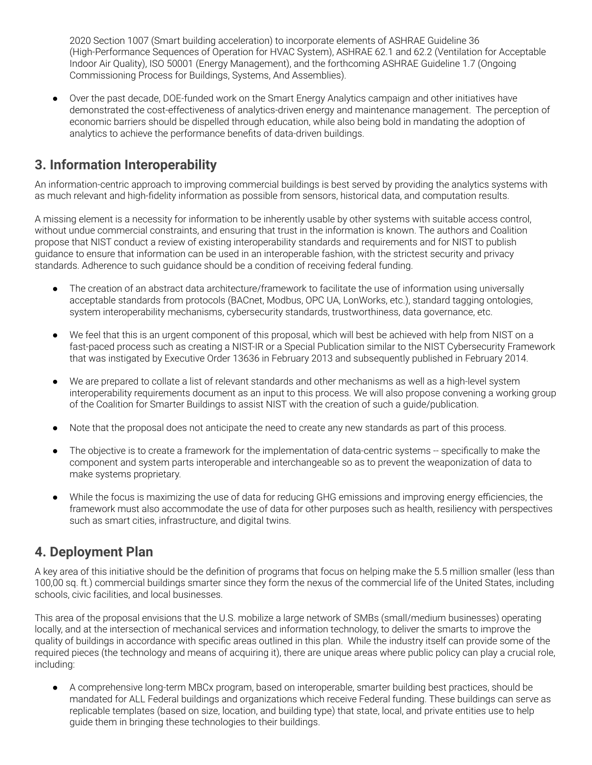2020 Section 1007 (Smart building acceleration) to incorporate elements of ASHRAE Guideline 36 (High-Performance Sequences of Operation for HVAC System), ASHRAE 62.1 and 62.2 (Ventilation for Acceptable Indoor Air Quality), ISO 50001 (Energy Management), and the forthcoming ASHRAE Guideline 1.7 (Ongoing Commissioning Process for Buildings, Systems, And Assemblies).

● Over the past decade, DOE-funded work on the Smart Energy Analytics campaign and other initiatives have demonstrated the cost-effectiveness of analytics-driven energy and maintenance management. The perception of economic barriers should be dispelled through education, while also being bold in mandating the adoption of analytics to achieve the performance benefits of data-driven buildings.

### **3. Information Interoperability**

An information-centric approach to improving commercial buildings is best served by providing the analytics systems with as much relevant and high-fidelity information as possible from sensors, historical data, and computation results.

A missing element is a necessity for information to be inherently usable by other systems with suitable access control, without undue commercial constraints, and ensuring that trust in the information is known. The authors and Coalition propose that NIST conduct a review of existing interoperability standards and requirements and for NIST to publish guidance to ensure that information can be used in an interoperable fashion, with the strictest security and privacy standards. Adherence to such guidance should be a condition of receiving federal funding.

- The creation of an abstract data architecture/framework to facilitate the use of information using universally acceptable standards from protocols (BACnet, Modbus, OPC UA, LonWorks, etc.), standard tagging ontologies, system interoperability mechanisms, cybersecurity standards, trustworthiness, data governance, etc.
- We feel that this is an urgent component of this proposal, which will best be achieved with help from NIST on a fast-paced process such as creating a NIST-IR or a Special Publication similar to the NIST Cybersecurity Framework that was instigated by Executive Order 13636 in February 2013 and subsequently published in February 2014.
- We are prepared to collate a list of relevant standards and other mechanisms as well as a high-level system interoperability requirements document as an input to this process. We will also propose convening a working group of the Coalition for Smarter Buildings to assist NIST with the creation of such a guide/publication.
- Note that the proposal does not anticipate the need to create any new standards as part of this process.
- The objective is to create a framework for the implementation of data-centric systems -- specifically to make the component and system parts interoperable and interchangeable so as to prevent the weaponization of data to make systems proprietary.
- While the focus is maximizing the use of data for reducing GHG emissions and improving energy efficiencies, the framework must also accommodate the use of data for other purposes such as health, resiliency with perspectives such as smart cities, infrastructure, and digital twins.

### **4. Deployment Plan**

A key area of this initiative should be the definition of programs that focus on helping make the 5.5 million smaller (less than 100,00 sq. ft.) commercial buildings smarter since they form the nexus of the commercial life of the United States, including schools, civic facilities, and local businesses.

This area of the proposal envisions that the U.S. mobilize a large network of SMBs (small/medium businesses) operating locally, and at the intersection of mechanical services and information technology, to deliver the smarts to improve the quality of buildings in accordance with specific areas outlined in this plan. While the industry itself can provide some of the required pieces (the technology and means of acquiring it), there are unique areas where public policy can play a crucial role, including:

● A comprehensive long-term MBCx program, based on interoperable, smarter building best practices, should be mandated for ALL Federal buildings and organizations which receive Federal funding. These buildings can serve as replicable templates (based on size, location, and building type) that state, local, and private entities use to help guide them in bringing these technologies to their buildings.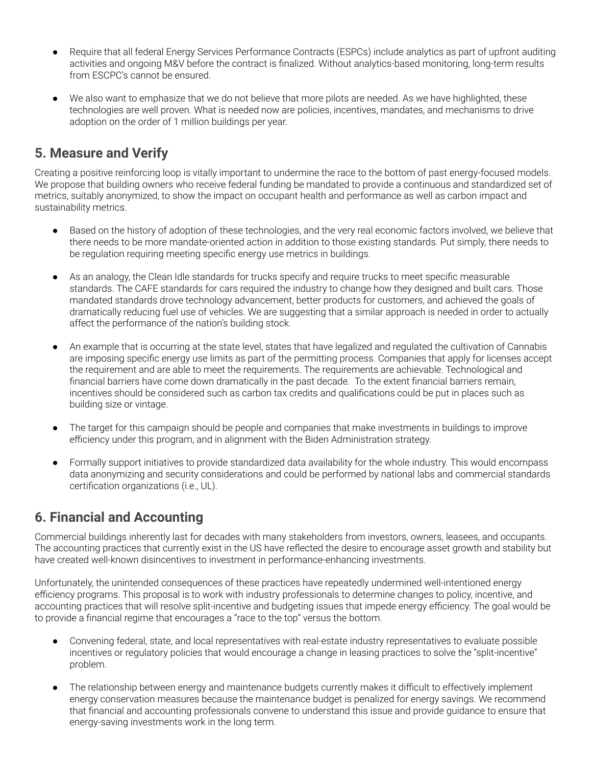- Require that all federal Energy Services Performance Contracts (ESPCs) include analytics as part of upfront auditing activities and ongoing M&V before the contract is finalized. Without analytics-based monitoring, long-term results from ESCPC's cannot be ensured.
- We also want to emphasize that we do not believe that more pilots are needed. As we have highlighted, these technologies are well proven. What is needed now are policies, incentives, mandates, and mechanisms to drive adoption on the order of 1 million buildings per year.

### **5. Measure and Verify**

Creating a positive reinforcing loop is vitally important to undermine the race to the bottom of past energy-focused models. We propose that building owners who receive federal funding be mandated to provide a continuous and standardized set of metrics, suitably anonymized, to show the impact on occupant health and performance as well as carbon impact and sustainability metrics.

- Based on the history of adoption of these technologies, and the very real economic factors involved, we believe that there needs to be more mandate-oriented action in addition to those existing standards. Put simply, there needs to be regulation requiring meeting specific energy use metrics in buildings.
- As an analogy, the Clean Idle standards for trucks specify and require trucks to meet specific measurable standards. The CAFE standards for cars required the industry to change how they designed and built cars. Those mandated standards drove technology advancement, better products for customers, and achieved the goals of dramatically reducing fuel use of vehicles. We are suggesting that a similar approach is needed in order to actually affect the performance of the nation's building stock.
- An example that is occurring at the state level, states that have legalized and regulated the cultivation of Cannabis are imposing specific energy use limits as part of the permitting process. Companies that apply for licenses accept the requirement and are able to meet the requirements. The requirements are achievable. Technological and financial barriers have come down dramatically in the past decade. To the extent financial barriers remain, incentives should be considered such as carbon tax credits and qualifications could be put in places such as building size or vintage.
- The target for this campaign should be people and companies that make investments in buildings to improve efficiency under this program, and in alignment with the Biden Administration strategy.
- Formally support initiatives to provide standardized data availability for the whole industry. This would encompass data anonymizing and security considerations and could be performed by national labs and commercial standards certification organizations (i.e., UL).

### **6. Financial and Accounting**

Commercial buildings inherently last for decades with many stakeholders from investors, owners, leasees, and occupants. The accounting practices that currently exist in the US have reflected the desire to encourage asset growth and stability but have created well-known disincentives to investment in performance-enhancing investments.

Unfortunately, the unintended consequences of these practices have repeatedly undermined well-intentioned energy efficiency programs. This proposal is to work with industry professionals to determine changes to policy, incentive, and accounting practices that will resolve split-incentive and budgeting issues that impede energy efficiency. The goal would be to provide a financial regime that encourages a "race to the top" versus the bottom.

- Convening federal, state, and local representatives with real-estate industry representatives to evaluate possible incentives or regulatory policies that would encourage a change in leasing practices to solve the "split-incentive" problem.
- The relationship between energy and maintenance budgets currently makes it difficult to effectively implement energy conservation measures because the maintenance budget is penalized for energy savings. We recommend that financial and accounting professionals convene to understand this issue and provide guidance to ensure that energy-saving investments work in the long term.